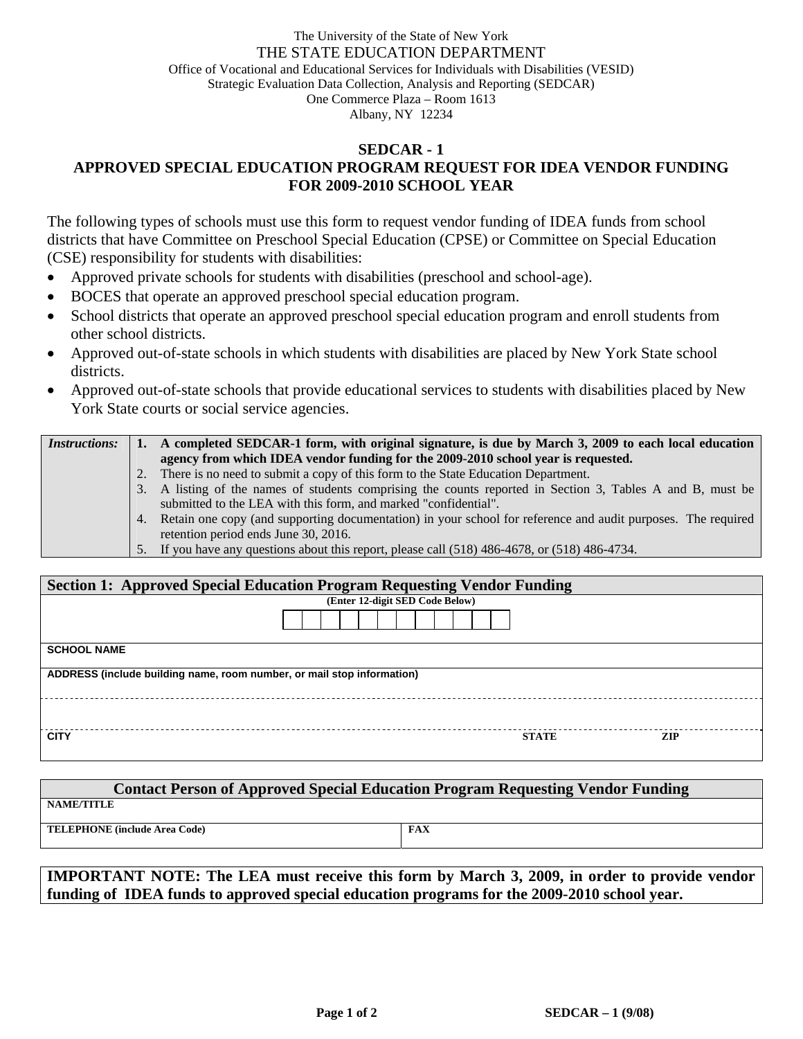## The University of the State of New York THE STATE EDUCATION DEPARTMENT Office of Vocational and Educational Services for Individuals with Disabilities (VESID) Strategic Evaluation Data Collection, Analysis and Reporting (SEDCAR) One Commerce Plaza – Room 1613 Albany, NY 12234

## **SEDCAR - 1 APPROVED SPECIAL EDUCATION PROGRAM REQUEST FOR IDEA VENDOR FUNDING FOR 2009-2010 SCHOOL YEAR**

The following types of schools must use this form to request vendor funding of IDEA funds from school districts that have Committee on Preschool Special Education (CPSE) or Committee on Special Education (CSE) responsibility for students with disabilities:

- Approved private schools for students with disabilities (preschool and school-age).
- BOCES that operate an approved preschool special education program.
- School districts that operate an approved preschool special education program and enroll students from other school districts.
- Approved out-of-state schools in which students with disabilities are placed by New York State school districts.
- Approved out-of-state schools that provide educational services to students with disabilities placed by New York State courts or social service agencies.

| <i>Instructions:</i> |    | A completed SEDCAR-1 form, with original signature, is due by March 3, 2009 to each local education             |
|----------------------|----|-----------------------------------------------------------------------------------------------------------------|
|                      |    | agency from which IDEA vendor funding for the 2009-2010 school year is requested.                               |
|                      | 2. | There is no need to submit a copy of this form to the State Education Department.                               |
|                      |    | 3. A listing of the names of students comprising the counts reported in Section 3, Tables A and B, must be      |
|                      |    | submitted to the LEA with this form, and marked "confidential".                                                 |
|                      |    | 4. Retain one copy (and supporting documentation) in your school for reference and audit purposes. The required |
|                      |    | retention period ends June 30, 2016.                                                                            |
|                      |    | 5. If you have any questions about this report, please call (518) 486-4678, or (518) 486-4734.                  |

| <b>Section 1: Approved Special Education Program Requesting Vendor Funding</b> |                                 |              |      |  |  |  |  |  |
|--------------------------------------------------------------------------------|---------------------------------|--------------|------|--|--|--|--|--|
|                                                                                | (Enter 12-digit SED Code Below) |              |      |  |  |  |  |  |
|                                                                                |                                 |              |      |  |  |  |  |  |
| <b>SCHOOL NAME</b>                                                             |                                 |              |      |  |  |  |  |  |
| ADDRESS (include building name, room number, or mail stop information)         |                                 |              |      |  |  |  |  |  |
|                                                                                |                                 |              |      |  |  |  |  |  |
| <b>CITY</b>                                                                    |                                 | <b>STATE</b> | ZIP. |  |  |  |  |  |

| <b>Contact Person of Approved Special Education Program Requesting Vendor Funding</b> |     |  |  |  |  |  |  |  |
|---------------------------------------------------------------------------------------|-----|--|--|--|--|--|--|--|
| <b>NAME/TITLE</b>                                                                     |     |  |  |  |  |  |  |  |
| <b>TELEPHONE</b> (include Area Code)                                                  | FAX |  |  |  |  |  |  |  |

**IMPORTANT NOTE: The LEA must receive this form by March 3, 2009, in order to provide vendor funding of IDEA funds to approved special education programs for the 2009-2010 school year.**